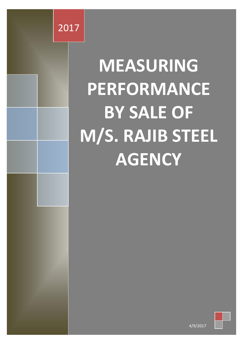

# **MEASURING PERFORMANCE BY SALE OF M/S. RAJIB STEEL AGENCY**



4/9/2017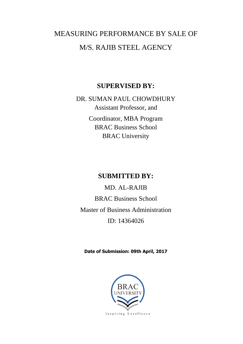### MEASURING PERFORMANCE BY SALE OF M/S. RAJIB STEEL AGENCY

#### **SUPERVISED BY:**

DR. SUMAN PAUL CHOWDHURY Assistant Professor, and Coordinator, MBA Program BRAC Business School BRAC University

#### **SUBMITTED BY:**

MD. AL-RAJIB BRAC Business School Master of Business Administration ID: 14364026

**Date of Submission: 09th April, 2017**

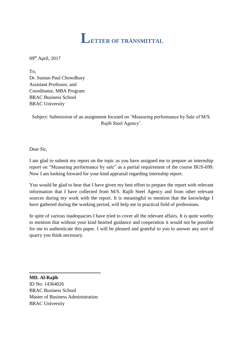<span id="page-2-0"></span>

09th April, 2017

To, Dr. Suman Paul Chowdhury Assistant Professor, and Coordinator, MBA Program BRAC Business School BRAC University

Subject: Submission of an assignment focused on 'Measuring performance by Sale of M/S. Rajib Steel Agency'.

Dear Sir,

I am glad to submit my report on the topic as you have assigned me to prepare an internship report on "Measuring performance by sale" as a partial requirement of the course BUS-699. Now I am looking forward for your kind appraisal regarding internship report.

You would be glad to hear that I have given my best effort to prepare the report with relevant information that I have collected from M/S. Rajib Steel Agency and from other relevant sources during my work with the report. It is meaningful to mention that the knowledge I have gathered during the working period, will help me in practical field of professions.

In spite of various inadequacies I have tried to cover all the relevant affairs. It is quite worthy to mention that without your kind hearted guidance and cooperation it would not be possible for me to authenticate this paper. I will be pleased and grateful to you to answer any sort of quarry you think necessary.

**MD. Al-Rajib** ID No: 14364026 BRAC Business School Master of Business Administration BRAC University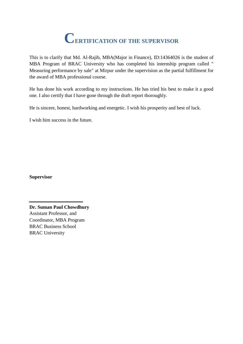### **CERTIFICATION OF THE SUPERVISOR**

<span id="page-3-0"></span>This is to clarify that Md. Al-Rajib, MBA(Major in Finance), ID:14364026 is the student of MBA Program of BRAC University who has completed his internship program called " Measuring performance by sale" at Mirpur under the supervision as the partial fulfillment for the award of MBA professional course.

He has done his work according to my instructions. He has tried his best to make it a good one. I also certify that I have gone through the draft report thoroughly.

He is sincere, honest, hardworking and energetic. I wish his prosperity and best of luck.

I wish him success in the future.

**Supervisor**

**Dr. Suman Paul Chowdhury** Assistant Professor, and Coordinator, MBA Program BRAC Business School BRAC University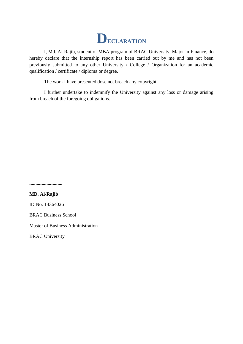

<span id="page-4-0"></span>I, Md. Al-Rajib, student of MBA program of BRAC University, Major in Finance, do hereby declare that the internship report has been carried out by me and has not been previously submitted to any other University / College / Organization for an academic qualification / certificate / diploma or degree.

The work I have presented dose not breach any copyright.

I further undertake to indemnify the University against any loss or damage arising from breach of the foregoing obligations.

**...........................**

**MD. Al-Rajib**

ID No: 14364026

BRAC Business School

Master of Business Administration

BRAC University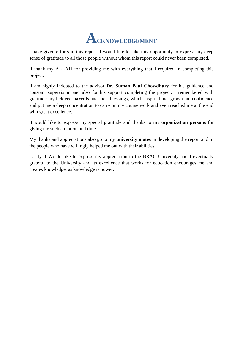## **ACKNOWLEDGEMENT**

<span id="page-5-0"></span>I have given efforts in this report. I would like to take this opportunity to express my deep sense of gratitude to all those people without whom this report could never been completed.

I thank my ALLAH for providing me with everything that I required in completing this project.

I am highly indebted to the advisor **Dr. Suman Paul Chowdhury** for his guidance and constant supervision and also for his support completing the project. I remembered with gratitude my beloved **parents** and their blessings, which inspired me, grown me confidence and put me a deep concentration to carry on my course work and even reached me at the end with great excellence.

I would like to express my special gratitude and thanks to my **organization persons** for giving me such attention and time.

My thanks and appreciations also go to my **university mates** in developing the report and to the people who have willingly helped me out with their abilities.

Lastly, I Would like to express my appreciation to the BRAC University and I eventually grateful to the University and its excellence that works for education encourages me and creates knowledge, as knowledge is power.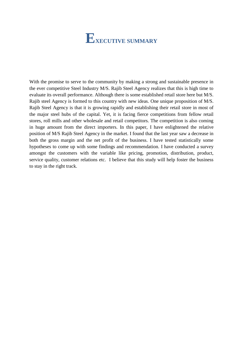### **EXECUTIVE SUMMARY**

<span id="page-6-0"></span>With the promise to serve to the community by making a strong and sustainable presence in the ever competitive Steel Industry M/S. Rajib Steel Agency realizes that this is high time to evaluate its overall performance. Although there is some established retail store here but M/S. Rajib steel Agency is formed to this country with new ideas. One unique proposition of M/S. Rajib Steel Agency is that it is growing rapidly and establishing their retail store in most of the major steel hubs of the capital. Yet, it is facing fierce competitions from fellow retail stores, roll mills and other wholesale and retail competitors. The competition is also coming in huge amount from the direct importers. In this paper, I have enlightened the relative position of M/S Rajib Steel Agency in the market. I found that the last year saw a decrease in both the gross margin and the net profit of the business. I have tested statistically some hypotheses to come up with some findings and recommendation. I have conducted a survey amongst the customers with the variable like pricing, promotion, distribution, product, service quality, customer relations etc. I believe that this study will help foster the business to stay in the right track.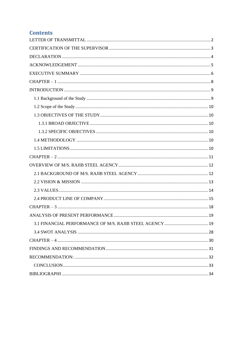#### **Contents**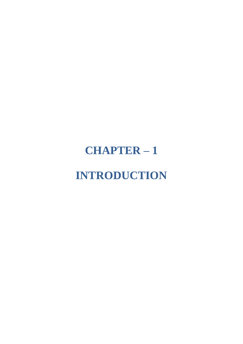## <span id="page-8-0"></span>**CHAPTER – 1 INTRODUCTION**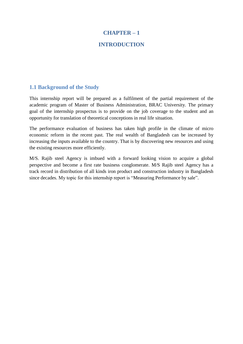#### **CHAPTER – 1**

#### **INTRODUCTION**

#### <span id="page-9-1"></span><span id="page-9-0"></span>**1.1 Background of the Study**

This internship report will be prepared as a fulfilment of the partial requirement of the academic program of Master of Business Administration, BRAC University. The primary goal of the internship prospectus is to provide on the job coverage to the student and an opportunity for translation of theoretical conceptions in real life situation.

The performance evaluation of business has taken high profile in the climate of micro economic reform in the recent past. The real wealth of Bangladesh can be increased by increasing the inputs available to the country. That is by discovering new resources and using the existing resources more efficiently.

M/S. Rajib steel Agency is imbued with a forward looking vision to acquire a global perspective and become a first rate business conglomerate. M/S Rajib steel Agency has a track record in distribution of all kinds iron product and construction industry in Bangladesh since decades. My topic for this internship report is "Measuring Performance by sale".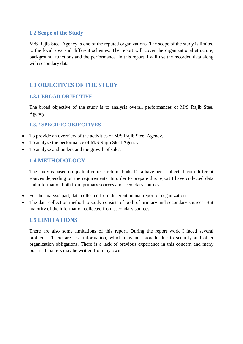#### <span id="page-10-0"></span>**1.2 Scope of the Study**

M/S Rajib Steel Agency is one of the reputed organizations. The scope of the study is limited to the local area and different schemes. The report will cover the organizational structure, background, functions and the performance. In this report, I will use the recorded data along with secondary data.

#### <span id="page-10-1"></span>**1.3 OBJECTIVES OF THE STUDY**

#### <span id="page-10-2"></span>**1.3.1 BROAD OBJECTIVE**

The broad objective of the study is to analysis overall performances of M/S Rajib Steel Agency.

#### <span id="page-10-3"></span>**1.3.2 SPECIFIC OBJECTIVES**

- To provide an overview of the activities of M/S Rajib Steel Agency.
- To analyze the performance of M/S Rajib Steel Agency.
- To analyze and understand the growth of sales.

#### <span id="page-10-4"></span>**1.4 METHODOLOGY**

The study is based on qualitative research methods. Data have been collected from different sources depending on the requirements. In order to prepare this report I have collected data and information both from primary sources and secondary sources.

- For the analysis part, data collected from different annual report of organization.
- The data collection method to study consists of both of primary and secondary sources. But majority of the information collected from secondary sources.

#### <span id="page-10-5"></span>**1.5 LIMITATIONS**

There are also some limitations of this report. During the report work I faced several problems. There are less information, which may not provide due to security and other organization obligations. There is a lack of previous experience in this concern and many practical matters may be written from my own.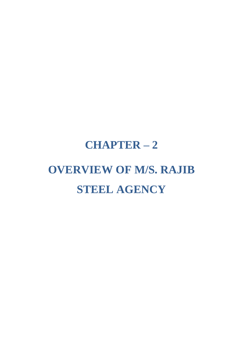## <span id="page-11-0"></span>**CHAPTER – 2 OVERVIEW OF M/S. RAJIB STEEL AGENCY**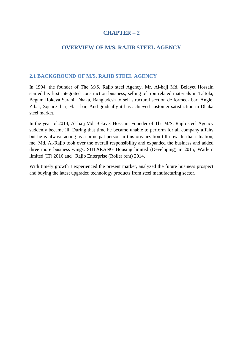#### **CHAPTER – 2**

#### **OVERVIEW OF M/S. RAJIB STEEL AGENCY**

#### <span id="page-12-1"></span><span id="page-12-0"></span>**2.1 BACKGROUND OF M/S. RAJIB STEEL AGENCY**

In 1994, the founder of The M/S. Rajib steel Agency, Mr. Al-hajj Md. Belayet Hossain started his first integrated construction business, selling of iron related materials in Taltola, Begum Rokeya Sarani, Dhaka, Bangladesh to sell structural section de formed- bar, Angle, Z-bar, Square- bar, Flat- bar, And gradually it has achieved customer satisfaction in Dhaka steel market.

In the year of 2014, Al-hajj Md. Belayet Hossain, Founder of The M/S. Rajib steel Agency suddenly became ill. During that time he became unable to perform for all company affairs but he is always acting as a principal person in this organization till now. In that situation, me, Md. Al-Rajib took over the overall responsibility and expanded the business and added three more business wings. SUTARANG Housing limited (Developing) in 2015, Warlern limited (IT) 2016 and Rajib Enterprise (Roller rent) 2014.

With timely growth I experienced the present market, analyzed the future business prospect and buying the latest upgraded technology products from steel manufacturing sector.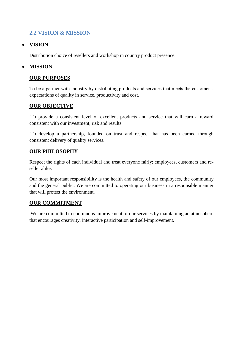#### <span id="page-13-0"></span>**2.2 VISION & MISSION**

#### **VISION**

Distribution choice of resellers and workshop in country product presence.

#### **MISSION**

#### **OUR PURPOSES**

To be a partner with industry by distributing products and services that meets the customer's expectations of quality in service, productivity and cost.

#### **OUR OBJECTIVE**

To provide a consistent level of excellent products and service that will earn a reward consistent with our investment, risk and results.

To develop a partnership, founded on trust and respect that has been earned through consistent delivery of quality services.

#### **OUR PHILOSOPHY**

Respect the rights of each individual and treat everyone fairly; employees, customers and reseller alike.

Our most important responsibility is the health and safety of our employees, the community and the general public. We are committed to operating our business in a responsible manner that will protect the environment.

#### **OUR COMMITMENT**

We are committed to continuous improvement of our services by maintaining an atmosphere that encourages creativity, interactive participation and self-improvement.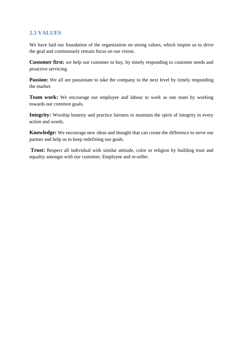#### <span id="page-14-0"></span>**2.3 VALUES**

We have laid our foundation of the organization on strong values, which inspire us to drive the goal and continuously remain focus on our vision.

**Customer first:** we help our customer to buy, by timely responding to customer needs and proactive servicing.

**Passion:** We all are passionate to take the company to the next level by timely responding the market.

**Team work:** We encourage our employee and labour to work as one team by working towards our common goals.

**Integrity:** Worship honesty and practice fairness to maintain the spirit of integrity in every action and words.

**Knowledge:** We encourage new ideas and thought that can create the difference to serve our partner and help us to keep redefining our goals.

**Trust:** Respect all individual with similar attitude, color or religion by building trust and equality amongst with our customer, Employee and re-seller.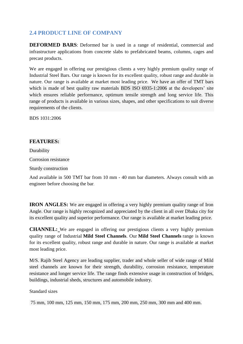#### <span id="page-15-0"></span>**2.4 PRODUCT LINE OF COMPANY**

**DEFORMED BARS**: Deformed bar is used in a range of residential, commercial and infrastructure applications from concrete slabs to prefabricated beams, columns, cages and precast products.

We are engaged in offering our prestigious clients a very highly premium quality range of Industrial Steel Bars. Our range is known for its excellent quality, robust range and durable in nature. Our range is available at market most leading price. We have an offer of TMT bars which is made of best quality raw materials BDS ISO 6935-1:2006 at the developers' site which ensures reliable performance, optimum tensile strength and long service life. This range of products is available in various sizes, shapes, and other specifications to suit diverse requirements of the clients.

BDS 1031:2006

#### **FEATURES:**

Durability Corrosion resistance Sturdy construction

And available in 500 TMT bar from 10 mm - 40 mm bar diameters. Always consult with an engineer before choosing the bar.

**IRON ANGLES:** We are engaged in offering a very highly premium quality range of Iron Angle. Our range is highly recognized and appreciated by the client in all over Dhaka city for its excellent quality and superior performance. Our range is available at market leading price.

**CHANNEL:** We are engaged in offering our prestigious clients a very highly premium quality range of Industrial **Mild Steel Channels**. Our **Mild Steel Channels** range is known for its excellent quality, robust range and durable in nature. Our range is available at market most leading price.

M/S. Rajib Steel Agency are leading supplier, trader and whole seller of wide range of Mild steel channels are known for their strength, durability, corrosion resistance, temperature resistance and longer service life. The range finds extensive usage in construction of bridges, buildings, industrial sheds, structures and automobile industry.

Standard sizes

75 mm, 100 mm, 125 mm, 150 mm, 175 mm, 200 mm, 250 mm, 300 mm and 400 mm.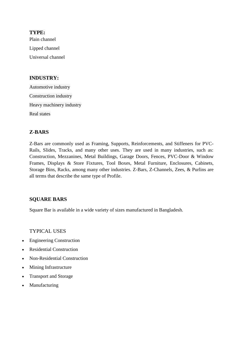**TYPE:** Plain channel Lipped channel Universal channel

#### **INDUSTRY:**

Automotive industry Construction industry Heavy machinery industry Real states

#### **Z-BARS**

Z-Bars are commonly used as Framing, Supports, Reinforcements, and Stiffeners for PVC-Rails, Slides, Tracks, and many other uses. They are used in many industries, such as: Construction, Mezzanines, Metal Buildings, Garage Doors, Fences, PVC-Door & Window Frames, Displays & Store Fixtures, Tool Boxes, Metal Furniture, Enclosures, Cabinets, Storage Bins, Racks, among many other industries. Z-Bars, Z-Channels, Zees, & Purlins are all terms that describe the same type of Profile.

#### **SQUARE BARS**

Square Bar is available in a wide variety of sizes manufactured in Bangladesh.

TYPICAL USES

- Engineering Construction
- Residential Construction
- Non-Residential Construction
- Mining Infrastructure
- Transport and Storage
- Manufacturing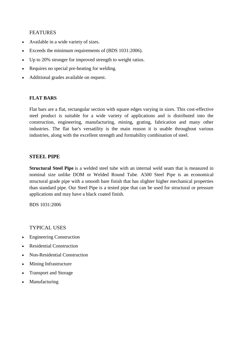#### FEATURES

- Available in a wide variety of sizes.
- Exceeds the minimum requirements of (BDS 1031:2006).
- Up to 20% stronger for improved strength to weight ratios.
- Requires no special pre-heating for welding.
- Additional grades available on request.

#### **FLAT BARS**

Flat bars are a flat, rectangular section with square edges varying in sizes. This cost-effective steel product is suitable for a wide variety of applications and is distributed into the construction, engineering, manufacturing, mining, grating, fabrication and many other industries. The flat bar's versatility is the main reason it is usable throughout various industries, along with the excellent strength and formability combination of steel.

#### **STEEL PIPE**

**Structural Steel Pipe** is a welded steel tube with an internal weld seam that is measured in nominal size unlike DOM or Welded Round Tube. A500 Steel Pipe is an economical structural grade pipe with a smooth bare finish that has slighter higher mechanical properties than standard pipe. Our Steel Pipe is a tested pipe that can be used for structural or pressure applications and may have a black coated finish.

BDS 1031:2006

TYPICAL USES

- Engineering Construction
- Residential Construction
- Non-Residential Construction
- Mining Infrastructure
- Transport and Storage
- Manufacturing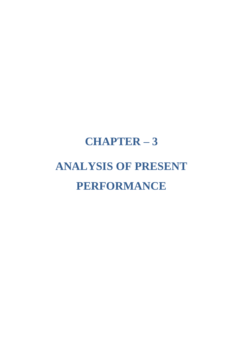## <span id="page-18-0"></span>**CHAPTER – 3 ANALYSIS OF PRESENT PERFORMANCE**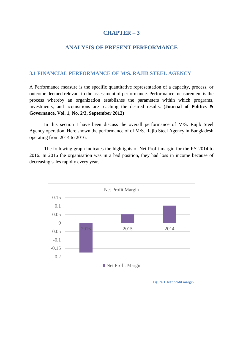#### **CHAPTER – 3**

#### **ANALYSIS OF PRESENT PERFORMANCE**

#### <span id="page-19-1"></span><span id="page-19-0"></span>**3.1 FINANCIAL PERFORMANCE OF M/S. RAJIB STEEL AGENCY**

A Performance measure is the specific quantitative representation of a capacity, process, or outcome deemed relevant to the assessment of performance. Performance measurement is the process whereby an organization establishes the parameters within which programs, investments, and acquisitions are reaching the desired results. (**Journal of Politics & Governance, Vol. 1, No. 2/3, September 2012)**

In this section I have been discuss the overall performance of M/S. Rajib Steel Agency operation. Here shown the performance of of M/S. Rajib Steel Agency in Bangladesh operating from 2014 to 2016.

The following graph indicates the highlights of Net Profit margin for the FY 2014 to 2016. In 2016 the organisation was in a bad position, they had loss in income because of decreasing sales rapidly every year.



**Figure 1: Net profit margin**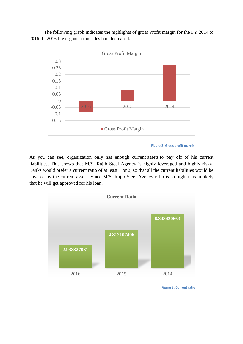The following graph indicates the highlights of gross Profit margin for the FY 2014 to 2016. In 2016 the organisation sales had decreased.





As you can see, organization only has enough current [assets](http://en.wikipedia.org/wiki/Assets) to pay off of his current liabilities. This shows that M/S. Rajib Steel Agency is highly leveraged and highly risky. Banks would prefer a current ratio of at least 1 or 2, so that all the current liabilities would be covered by the current assets. Since M/S. Rajib Steel Agency ratio is so high, it is unlikely that he will get approved for his loan.



**Figure 3: Current ratio**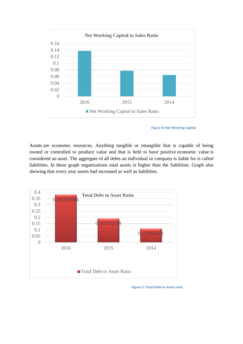

**Figure 4: Net Working Capital**

Assets are economic resources. Anything tangible or intangible that is capable of being owned or controlled to produce value and that is held to have positive economic value is considered an asset. The aggregate of all debts an individual or company is liable for is called liabilities. In these graph organizations total assets is higher than the liabilities. Graph also showing that every year assets had increased as well as liabilities.



**Figure 5: Total Debt to Asset ratio**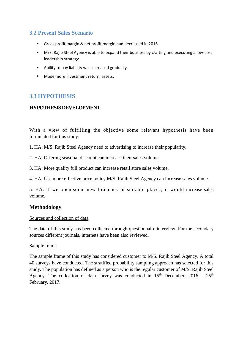#### **3.2 Present Sales Scenario**

- Gross profit margin & net profit margin had decreased in 2016.
- M/S. Rajib Steel Agency is able to expand their business by crafting and executing a low-cost leadership strategy.
- Ability to pay liability was increased gradually.
- **Made more investment return, assets.**

#### **3.3 HYPOTHESIS**

#### **HYPOTHESIS DEVELOPMENT**

With a view of fulfilling the objective some relevant hypothesis have been formulated for this study:

1. HA: M/S. Rajib Steel Agency need to advertising to increase their popularity.

- 2. HA: Offering seasonal discount can increase their sales volume.
- 3. HA: More quality full product can increase retail store sales volume.

4. HA: Use more effective price policy M/S. Rajib Steel Agency can increase sales volume.

5. HA: If we open some new branches in suitable places, it would increase sales volume.

#### **Methodology**

#### Sources and collection of data

The data of this study has been collected through questionnaire interview. For the secondary sources different journals, internets have been also reviewed.

#### Sample frame

The sample frame of this study has considered customer to M/S. Rajib Steel Agency. A total 40 surveys have conducted. The stratified probability sampling approach has selected for this study. The population has defined as a person who is the regular customer of M/S. Rajib Steel Agency. The collection of data survey was conducted in  $15<sup>th</sup>$  December,  $2016 - 25<sup>th</sup>$ February, 2017.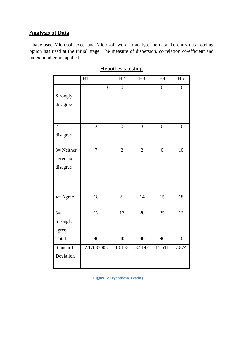#### **Analysis of Data**

I have used Microsoft excel and Microsoft word to analyse the data. To entry data, coding option has used at the initial stage. The measure of dispersion, correlation co-efficient and index number are applied.

|                    | H1              | H2              | H <sub>3</sub>  | H4               | H <sub>5</sub>   |
|--------------------|-----------------|-----------------|-----------------|------------------|------------------|
| $1=$               | $\overline{0}$  | $\overline{0}$  | $\mathbf{1}$    | $\overline{0}$   | $\boldsymbol{0}$ |
| Strongly           |                 |                 |                 |                  |                  |
| disagree           |                 |                 |                 |                  |                  |
|                    |                 |                 |                 |                  |                  |
|                    |                 |                 |                 |                  |                  |
| $2=$               | $\overline{3}$  | $\overline{0}$  | $\overline{3}$  | $\boldsymbol{0}$ | $\boldsymbol{0}$ |
| disagree           |                 |                 |                 |                  |                  |
|                    |                 |                 |                 |                  |                  |
| $3=$ Neither       | $\overline{7}$  | $\overline{2}$  | $\overline{2}$  | $\overline{0}$   | $\overline{10}$  |
| agree nor          |                 |                 |                 |                  |                  |
| disagree           |                 |                 |                 |                  |                  |
|                    |                 |                 |                 |                  |                  |
|                    |                 |                 |                 |                  |                  |
|                    |                 |                 |                 |                  |                  |
| $4 = \text{Agree}$ | 18              | 21              | $\overline{14}$ | $\overline{15}$  | 18               |
|                    |                 |                 |                 |                  |                  |
| $5=$               | 12              | 17              | $\overline{20}$ | 25               | $\overline{12}$  |
| Strongly           |                 |                 |                 |                  |                  |
| agree              |                 |                 |                 |                  |                  |
| Total              | $\overline{40}$ | $\overline{40}$ | $\overline{40}$ | $\overline{40}$  | $\overline{40}$  |
| Standard           | 7.17635005      | 10.173          | 8.5147          | 11.511           | 7.874            |
| Deviation          |                 |                 |                 |                  |                  |
|                    |                 |                 |                 |                  |                  |

#### Hypothesis testing

**Figure 6: Hypothesis Testing**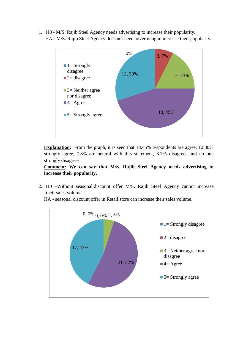1. H0 - M/S. Rajib Steel Agency needs advertising to increase their popularity. HA - M/S. Rajib Steel Agency does not need advertising in increase their popularity.



**Explanation:** From the graph, it is seen that 18.45% respondents are agree, 12.30% strongly agree, 7.8% are neutral with this statement, 3.7% disagrees and no one strongly disagrees.

**Comment: We can say that M/S. Rajib Steel Agency needs advertising to increase their popularity.**

2. H0 –Without seasonal discount offer M/S. Rajib Steel Agency cannot increase their sales volume.



HA - seasonal discount offer in Retail store can increase their sales volume.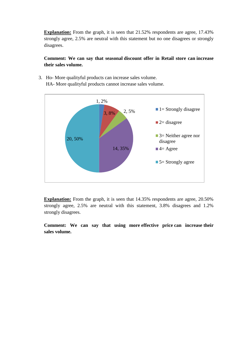**Explanation:** From the graph, it is seen that 21.52% respondents are agree, 17.43% strongly agree, 2.5% are neutral with this statement but no one disagrees or strongly disagrees.

#### **Comment: We can say that seasonal discount offer in Retail store can increase their sales volume.**

3. Ho- More qualityful products can increase sales volume. HA- More qualityful products cannot increase sales volume.



**Explanation:** From the graph, it is seen that 14.35% respondents are agree, 20.50% strongly agree, 2.5% are neutral with this statement, 3.8% disagrees and 1.2% strongly disagrees.

**Comment: We can say that using more effective price can increase their sales volume.**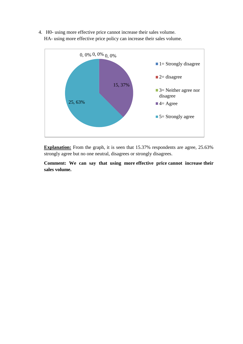4. H0- using more effective price cannot increase their sales volume. HA- using more effective price policy can increase their sales volume.



**Explanation:** From the graph, it is seen that 15.37% respondents are agree, 25.63% strongly agree but no one neutral, disagrees or strongly disagrees.

**Comment: We can say that using more effective price cannot increase their sales volume.**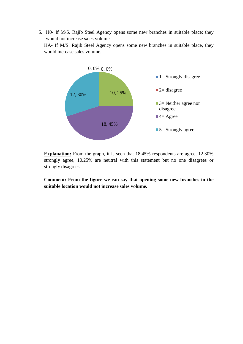5. H0- If M/S. Rajib Steel Agency opens some new branches in suitable place; they would not increase sales volume.

HA- If M/S. Rajib Steel Agency opens some new branches in suitable place, they would increase sales volume.



**Explanation:** From the graph, it is seen that 18.45% respondents are agree, 12.30% strongly agree, 10.25% are neutral with this statement but no one disagrees or strongly disagrees.

**Comment: From the figure we can say that opening some new branches in the suitable location would not increase sales volume.**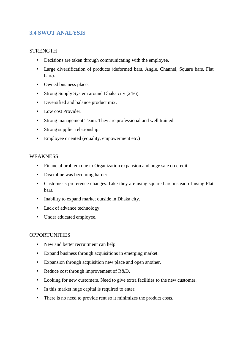#### <span id="page-28-0"></span>**3.4 SWOT ANALYSIS**

#### **STRENGTH**

- Decisions are taken through communicating with the employee.
- Large diversification of products (deformed bars, Angle, Channel, Square bars, Flat bars).
- Owned business place.
- Strong Supply System around Dhaka city (24/6).
- Diversified and balance product mix.
- Low cost Provider.
- Strong management Team. They are professional and well trained.
- Strong supplier relationship.
- Employee oriented (equality, empowerment etc.)

#### **WEAKNESS**

- Financial problem due to Organization expansion and huge sale on credit.
- Discipline was becoming harder.
- Customer's preference changes. Like they are using square bars instead of using Flat bars.
- Inability to expand market outside in Dhaka city.
- Lack of advance technology.
- Under educated employee.

#### **OPPORTUNITIES**

- New and better recruitment can help.
- Expand business through acquisitions in emerging market.
- Expansion through acquisition new place and open another.
- Reduce cost through improvement of R&D.
- Looking for new customers. Need to give extra facilities to the new customer.
- In this market huge capital is required to enter.
- There is no need to provide rent so it minimizes the product costs.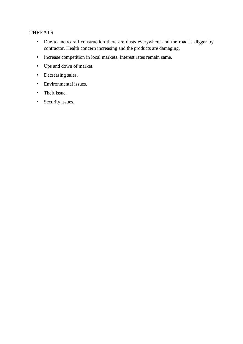#### THREATS

- Due to metro rail construction there are dusts everywhere and the road is digger by contractor. Health concern increasing and the products are damaging.
- Increase competition in local markets. Interest rates remain same.
- Ups and down of market.
- Decreasing sales.
- Environmental issues.
- Theft issue.
- Security issues.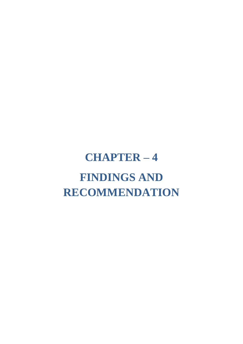## <span id="page-30-0"></span>**CHAPTER – 4 FINDINGS AND RECOMMENDATION**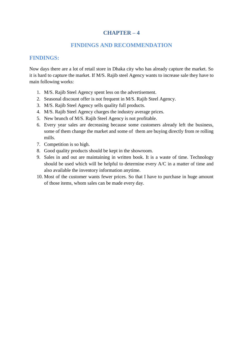#### **CHAPTER – 4**

#### **FINDINGS AND RECOMMENDATION**

#### <span id="page-31-0"></span>**FINDINGS:**

Now days there are a lot of retail store in Dhaka city who has already capture the market. So it is hard to capture the market. If M/S. Rajib steel Agency wants to increase sale they have to main following works:

- 1. M/S. Rajib Steel Agency spent less on the advertisement.
- 2. Seasonal discount offer is not frequent in M/S. Rajib Steel Agency.
- 3. M/S. Rajib Steel Agency sells quality full products.
- 4. M/S. Rajib Steel Agency charges the industry average prices.
- 5. New brunch of M/S. Rajib Steel Agency is not profitable.
- 6. Every year sales are decreasing because some customers already left the business, some of them change the market and some of them are buying directly from re rolling mills.
- 7. Competition is so high.
- 8. Good quality products should be kept in the showroom.
- 9. Sales in and out are maintaining in written book. It is a waste of time. Technology should be used which will be helpful to determine every A/C in a matter of time and also available the inventory information anytime.
- 10. Most of the customer wants fewer prices. So that I have to purchase in huge amount of those items, whom sales can be made every day.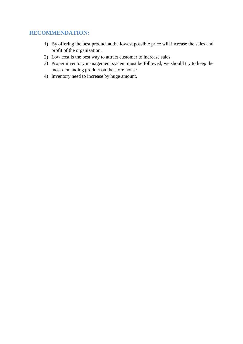#### <span id="page-32-0"></span>**RECOMMENDATION:**

- 1) By offering the best product at the lowest possible price will increase the sales and profit of the organization.
- 2) Low cost is the best way to attract customer to increase sales.
- 3) Proper inventory management system must be followed; we should try to keep the most demanding product on the store house.
- 4) Inventory need to increase by huge amount.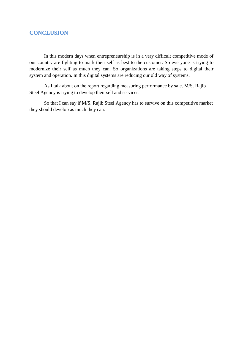#### <span id="page-33-0"></span>**CONCLUSION**

In this modern days when entrepreneurship is in a very difficult competitive mode of our country are fighting to mark their self as best to the customer. So everyone is trying to modernize their self as much they can. So organizations are taking steps to digital their system and operation. In this digital systems are reducing our old way of systems.

As I talk about on the report regarding measuring performance by sale. M/S. Rajib Steel Agency is trying to develop their sell and services.

So that I can say if M/S. Rajib Steel Agency has to survive on this competitive market they should develop as much they can.